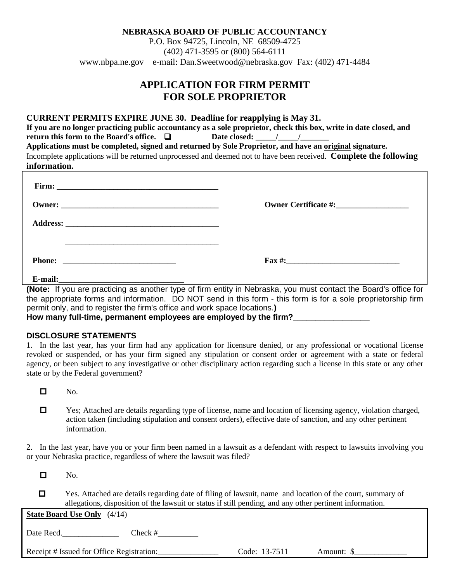P.O. Box 94725, Lincoln, NE 68509-4725 (402) 471-3595 or (800) 564-6111 www.nbpa.ne.gov e-mail: Dan.Sweetwood@nebraska.gov Fax: (402) 471-4484

# **APPLICATION FOR FIRM PERMIT FOR SOLE PROPRIETOR**

### **CURRENT PERMITS EXPIRE JUNE 30. Deadline for reapplying is May 31.**

**If you are no longer practicing public accountancy as a sole proprietor, check this box, write in date closed, and return this form to the Board's office.**  $\Box$  Date closed:  $\Box$  / **Applications must be completed, signed and returned by Sole Proprietor, and have an original signature.**  Incomplete applications will be returned unprocessed and deemed not to have been received. **Complete the following information.**

|                                                                                                                                  | $\text{Fax} \#:\_$ |
|----------------------------------------------------------------------------------------------------------------------------------|--------------------|
| E-mail:<br><u> 1989 - Jan Berlin, mars ann an t-Amhain an t-Amhain ann an t-Amhain an t-Amhain an t-Amhain an t-Amhain an t-</u> |                    |

**(Note:** If you are practicing as another type of firm entity in Nebraska, you must contact the Board's office for the appropriate forms and information. DO NOT send in this form - this form is for a sole proprietorship firm permit only, and to register the firm's office and work space locations.**) How many full-time, permanent employees are employed by the firm?\_\_\_\_\_\_\_\_\_\_\_\_\_\_\_\_\_**

## **DISCLOSURE STATEMENTS**

1. In the last year, has your firm had any application for licensure denied, or any professional or vocational license revoked or suspended, or has your firm signed any stipulation or consent order or agreement with a state or federal agency, or been subject to any investigative or other disciplinary action regarding such a license in this state or any other state or by the Federal government?

- $\Box$  No.
- Yes; Attached are details regarding type of license, name and location of licensing agency, violation charged, action taken (including stipulation and consent orders), effective date of sanction, and any other pertinent information.

2. In the last year, have you or your firm been named in a lawsuit as a defendant with respect to lawsuits involving you or your Nebraska practice, regardless of where the lawsuit was filed?

 $\Box$  No.

 Yes. Attached are details regarding date of filing of lawsuit, name and location of the court, summary of allegations, disposition of the lawsuit or status if still pending, and any other pertinent information.

**State Board Use Only** (4/14)

Date Recd. Check #

Receipt # Issued for Office Registration:\_\_\_\_\_\_\_\_\_\_\_\_\_\_\_ Code: 13-7511 Amount: \$\_\_\_\_\_\_\_\_\_\_\_\_\_